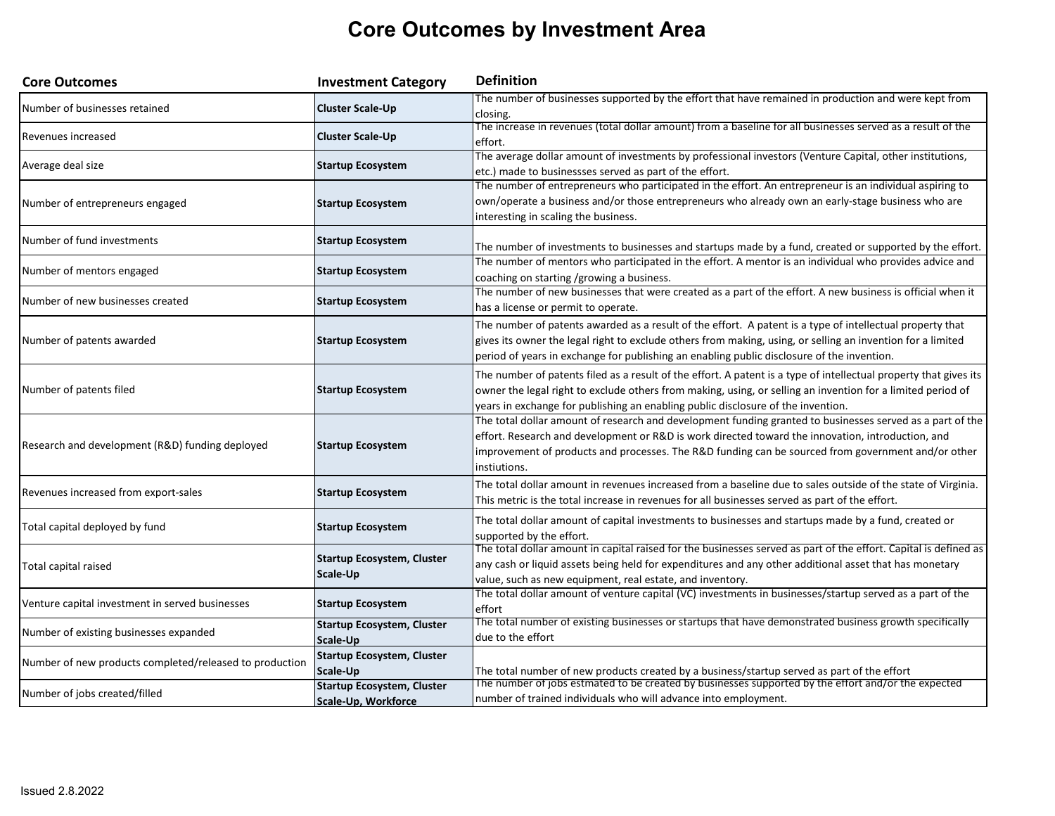## **Core Outcomes by Investment Area**

| <b>Core Outcomes</b>                                    | <b>Investment Category</b>                               | <b>Definition</b>                                                                                                                                                                                                                                                                                                                    |
|---------------------------------------------------------|----------------------------------------------------------|--------------------------------------------------------------------------------------------------------------------------------------------------------------------------------------------------------------------------------------------------------------------------------------------------------------------------------------|
| Number of businesses retained                           | <b>Cluster Scale-Up</b>                                  | The number of businesses supported by the effort that have remained in production and were kept from<br>closing.                                                                                                                                                                                                                     |
| Revenues increased                                      | <b>Cluster Scale-Up</b>                                  | The increase in revenues (total dollar amount) from a baseline for all businesses served as a result of the<br>effort.                                                                                                                                                                                                               |
| Average deal size                                       | <b>Startup Ecosystem</b>                                 | The average dollar amount of investments by professional investors (Venture Capital, other institutions,<br>etc.) made to businessses served as part of the effort.                                                                                                                                                                  |
| Number of entrepreneurs engaged                         | <b>Startup Ecosystem</b>                                 | The number of entrepreneurs who participated in the effort. An entrepreneur is an individual aspiring to<br>own/operate a business and/or those entrepreneurs who already own an early-stage business who are<br>interesting in scaling the business.                                                                                |
| Number of fund investments                              | <b>Startup Ecosystem</b>                                 | The number of investments to businesses and startups made by a fund, created or supported by the effort.                                                                                                                                                                                                                             |
| Number of mentors engaged                               | <b>Startup Ecosystem</b>                                 | The number of mentors who participated in the effort. A mentor is an individual who provides advice and<br>coaching on starting /growing a business.                                                                                                                                                                                 |
| Number of new businesses created                        | <b>Startup Ecosystem</b>                                 | The number of new businesses that were created as a part of the effort. A new business is official when it<br>has a license or permit to operate.                                                                                                                                                                                    |
| Number of patents awarded                               | <b>Startup Ecosystem</b>                                 | The number of patents awarded as a result of the effort. A patent is a type of intellectual property that<br>gives its owner the legal right to exclude others from making, using, or selling an invention for a limited<br>period of years in exchange for publishing an enabling public disclosure of the invention.               |
| Number of patents filed                                 | <b>Startup Ecosystem</b>                                 | The number of patents filed as a result of the effort. A patent is a type of intellectual property that gives its<br>owner the legal right to exclude others from making, using, or selling an invention for a limited period of<br>years in exchange for publishing an enabling public disclosure of the invention.                 |
| Research and development (R&D) funding deployed         | <b>Startup Ecosystem</b>                                 | The total dollar amount of research and development funding granted to businesses served as a part of the<br>effort. Research and development or R&D is work directed toward the innovation, introduction, and<br>improvement of products and processes. The R&D funding can be sourced from government and/or other<br>instiutions. |
| Revenues increased from export-sales                    | <b>Startup Ecosystem</b>                                 | The total dollar amount in revenues increased from a baseline due to sales outside of the state of Virginia.<br>This metric is the total increase in revenues for all businesses served as part of the effort.                                                                                                                       |
| Total capital deployed by fund                          | <b>Startup Ecosystem</b>                                 | The total dollar amount of capital investments to businesses and startups made by a fund, created or<br>supported by the effort.                                                                                                                                                                                                     |
| Total capital raised                                    | <b>Startup Ecosystem, Cluster</b><br>Scale-Up            | The total dollar amount in capital raised for the businesses served as part of the effort. Capital is defined as<br>any cash or liquid assets being held for expenditures and any other additional asset that has monetary<br>value, such as new equipment, real estate, and inventory.                                              |
| Venture capital investment in served businesses         | <b>Startup Ecosystem</b>                                 | The total dollar amount of venture capital (VC) investments in businesses/startup served as a part of the<br>effort                                                                                                                                                                                                                  |
| Number of existing businesses expanded                  | <b>Startup Ecosystem, Cluster</b><br>Scale-Up            | The total number of existing businesses or startups that have demonstrated business growth specifically<br>due to the effort                                                                                                                                                                                                         |
| Number of new products completed/released to production | <b>Startup Ecosystem, Cluster</b><br>Scale-Up            | The total number of new products created by a business/startup served as part of the effort                                                                                                                                                                                                                                          |
| Number of jobs created/filled                           | <b>Startup Ecosystem, Cluster</b><br>Scale-Up, Workforce | The number of jobs estmated to be created by businesses supported by the effort and/or the expected<br>number of trained individuals who will advance into employment.                                                                                                                                                               |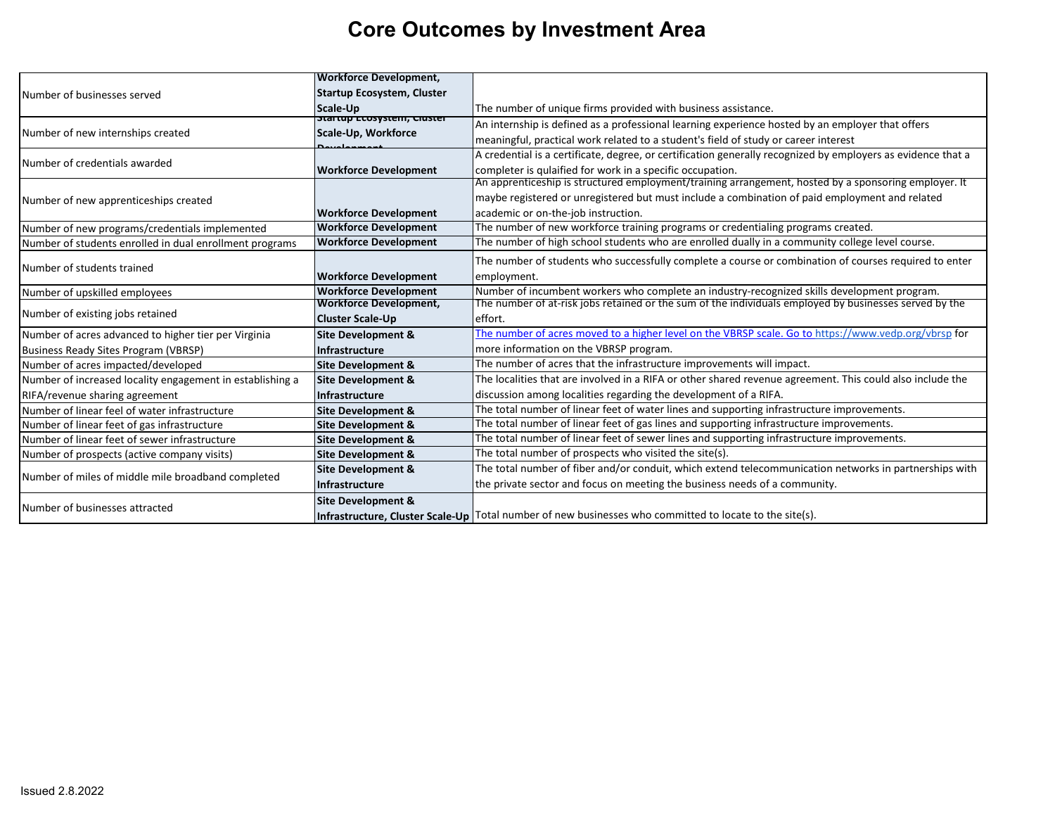## **Core Outcomes by Investment Area**

|                                                           | <b>Workforce Development,</b>     |                                                                                                              |
|-----------------------------------------------------------|-----------------------------------|--------------------------------------------------------------------------------------------------------------|
| Number of businesses served                               | <b>Startup Ecosystem, Cluster</b> |                                                                                                              |
|                                                           | Scale-Up                          | The number of unique firms provided with business assistance.                                                |
|                                                           | startup ccosystem, cluster        | An internship is defined as a professional learning experience hosted by an employer that offers             |
| Number of new internships created                         | Scale-Up, Workforce               | meaningful, practical work related to a student's field of study or career interest                          |
|                                                           |                                   | A credential is a certificate, degree, or certification generally recognized by employers as evidence that a |
| Number of credentials awarded                             | <b>Workforce Development</b>      | completer is qulaified for work in a specific occupation.                                                    |
|                                                           |                                   | An apprenticeship is structured employment/training arrangement, hosted by a sponsoring employer. It         |
| Number of new apprenticeships created                     |                                   | maybe registered or unregistered but must include a combination of paid employment and related               |
|                                                           | <b>Workforce Development</b>      | academic or on-the-job instruction.                                                                          |
| Number of new programs/credentials implemented            | <b>Workforce Development</b>      | The number of new workforce training programs or credentialing programs created.                             |
| Number of students enrolled in dual enrollment programs   | <b>Workforce Development</b>      | The number of high school students who are enrolled dually in a community college level course.              |
|                                                           |                                   | The number of students who successfully complete a course or combination of courses required to enter        |
| Number of students trained                                | <b>Workforce Development</b>      | employment.                                                                                                  |
| Number of upskilled employees                             | <b>Workforce Development</b>      | Number of incumbent workers who complete an industry-recognized skills development program.                  |
|                                                           | <b>Workforce Development,</b>     | The number of at-risk jobs retained or the sum of the individuals employed by businesses served by the       |
| Number of existing jobs retained                          | <b>Cluster Scale-Up</b>           | effort.                                                                                                      |
| Number of acres advanced to higher tier per Virginia      | <b>Site Development &amp;</b>     | The number of acres moved to a higher level on the VBRSP scale. Go to https://www.vedp.org/vbrsp for         |
| <b>Business Ready Sites Program (VBRSP)</b>               | <b>Infrastructure</b>             | more information on the VBRSP program.                                                                       |
| Number of acres impacted/developed                        | <b>Site Development &amp;</b>     | The number of acres that the infrastructure improvements will impact.                                        |
| Number of increased locality engagement in establishing a | <b>Site Development &amp;</b>     | The localities that are involved in a RIFA or other shared revenue agreement. This could also include the    |
| RIFA/revenue sharing agreement                            | <b>Infrastructure</b>             | discussion among localities regarding the development of a RIFA.                                             |
| Number of linear feel of water infrastructure             | <b>Site Development &amp;</b>     | The total number of linear feet of water lines and supporting infrastructure improvements.                   |
| Number of linear feet of gas infrastructure               | <b>Site Development &amp;</b>     | The total number of linear feet of gas lines and supporting infrastructure improvements.                     |
| Number of linear feet of sewer infrastructure             | <b>Site Development &amp;</b>     | The total number of linear feet of sewer lines and supporting infrastructure improvements.                   |
| Number of prospects (active company visits)               | <b>Site Development &amp;</b>     | The total number of prospects who visited the site(s).                                                       |
|                                                           | <b>Site Development &amp;</b>     | The total number of fiber and/or conduit, which extend telecommunication networks in partnerships with       |
| Number of miles of middle mile broadband completed        | <b>Infrastructure</b>             | the private sector and focus on meeting the business needs of a community.                                   |
| Number of businesses attracted                            | <b>Site Development &amp;</b>     |                                                                                                              |
|                                                           |                                   | Infrastructure, Cluster Scale-Up   Total number of new businesses who committed to locate to the site(s).    |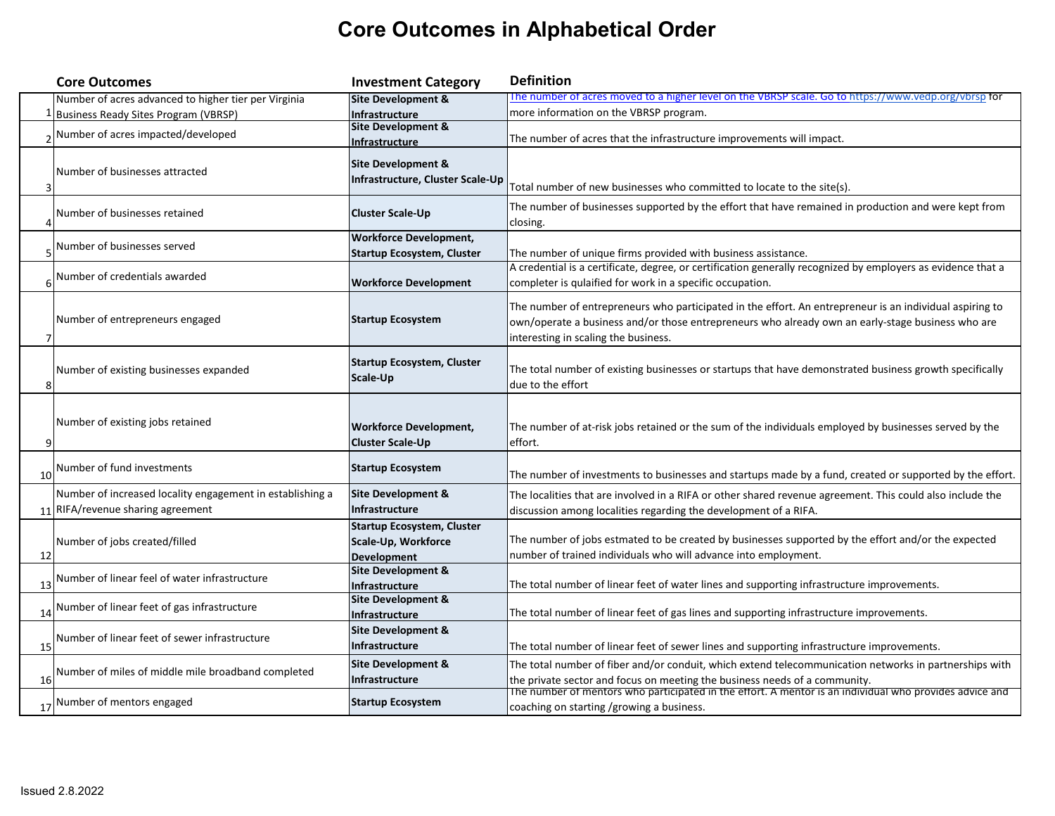## **Core Outcomes in Alphabetical Order**

|    | <b>Core Outcomes</b>                                      | <b>Investment Category</b>                                                     | <b>Definition</b>                                                                                                                                                                                                                                     |
|----|-----------------------------------------------------------|--------------------------------------------------------------------------------|-------------------------------------------------------------------------------------------------------------------------------------------------------------------------------------------------------------------------------------------------------|
|    | Number of acres advanced to higher tier per Virginia      | Site Development &                                                             | The number of acres moved to a higher level on the VBRSP scale. Go to https://www.vedp.org/vbrsp for                                                                                                                                                  |
|    | <b>Business Ready Sites Program (VBRSP)</b>               | Infrastructure                                                                 | more information on the VBRSP program.                                                                                                                                                                                                                |
|    | Number of acres impacted/developed                        | <b>Site Development &amp;</b><br>Infrastructure                                | The number of acres that the infrastructure improvements will impact.                                                                                                                                                                                 |
|    | Number of businesses attracted                            | Site Development &<br>Infrastructure, Cluster Scale-Up                         | Total number of new businesses who committed to locate to the site(s).                                                                                                                                                                                |
|    | Number of businesses retained                             | Cluster Scale-Up                                                               | The number of businesses supported by the effort that have remained in production and were kept from<br>closing.                                                                                                                                      |
|    | Number of businesses served                               | Workforce Development,<br>Startup Ecosystem, Cluster                           | The number of unique firms provided with business assistance.                                                                                                                                                                                         |
|    | Number of credentials awarded                             | <b>Workforce Development</b>                                                   | A credential is a certificate, degree, or certification generally recognized by employers as evidence that a<br>completer is qulaified for work in a specific occupation.                                                                             |
|    | Number of entrepreneurs engaged                           | <b>Startup Ecosystem</b>                                                       | The number of entrepreneurs who participated in the effort. An entrepreneur is an individual aspiring to<br>own/operate a business and/or those entrepreneurs who already own an early-stage business who are<br>interesting in scaling the business. |
|    | Number of existing businesses expanded                    | <b>Startup Ecosystem, Cluster</b><br>Scale-Up                                  | The total number of existing businesses or startups that have demonstrated business growth specifically<br>due to the effort                                                                                                                          |
|    | Number of existing jobs retained                          | Workforce Development,<br><b>Cluster Scale-Up</b>                              | The number of at-risk jobs retained or the sum of the individuals employed by businesses served by the<br>effort.                                                                                                                                     |
| 10 | Number of fund investments                                | <b>Startup Ecosystem</b>                                                       | The number of investments to businesses and startups made by a fund, created or supported by the effort.                                                                                                                                              |
|    | Number of increased locality engagement in establishing a | Site Development &                                                             | The localities that are involved in a RIFA or other shared revenue agreement. This could also include the                                                                                                                                             |
|    | 11 RIFA/revenue sharing agreement                         | Infrastructure                                                                 | discussion among localities regarding the development of a RIFA.                                                                                                                                                                                      |
| 12 | Number of jobs created/filled                             | <b>Startup Ecosystem, Cluster</b><br>Scale-Up, Workforce<br><b>Development</b> | The number of jobs estmated to be created by businesses supported by the effort and/or the expected<br>number of trained individuals who will advance into employment.                                                                                |
| 13 | Number of linear feel of water infrastructure             | Site Development &<br>Infrastructure                                           | The total number of linear feet of water lines and supporting infrastructure improvements.                                                                                                                                                            |
| 14 | Number of linear feet of gas infrastructure               | <b>Site Development &amp;</b><br>Infrastructure                                | The total number of linear feet of gas lines and supporting infrastructure improvements.                                                                                                                                                              |
| 15 | Number of linear feet of sewer infrastructure             | Site Development &<br>Infrastructure                                           | The total number of linear feet of sewer lines and supporting infrastructure improvements.                                                                                                                                                            |
| 16 | Number of miles of middle mile broadband completed        | Site Development &<br>Infrastructure                                           | The total number of fiber and/or conduit, which extend telecommunication networks in partnerships with<br>the private sector and focus on meeting the business needs of a community.                                                                  |
|    | 17 Number of mentors engaged                              | <b>Startup Ecosystem</b>                                                       | The number of mentors who participated in the effort. A mentor is an individual who provides advice and<br>coaching on starting /growing a business.                                                                                                  |